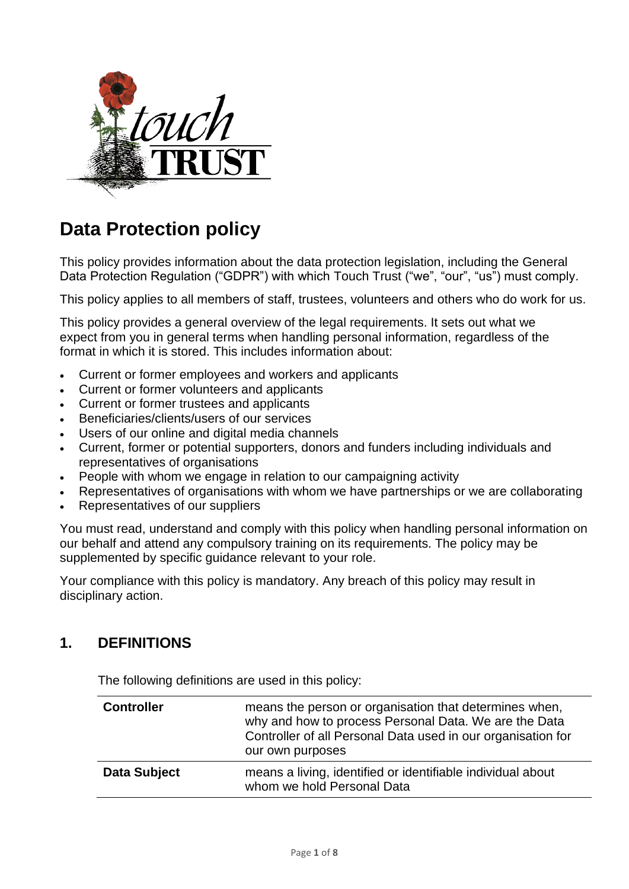

# **Data Protection policy**

This policy provides information about the data protection legislation, including the General Data Protection Regulation ("GDPR") with which Touch Trust ("we", "our", "us") must comply.

This policy applies to all members of staff, trustees, volunteers and others who do work for us.

This policy provides a general overview of the legal requirements. It sets out what we expect from you in general terms when handling personal information, regardless of the format in which it is stored. This includes information about:

- Current or former employees and workers and applicants
- Current or former volunteers and applicants
- Current or former trustees and applicants
- Beneficiaries/clients/users of our services
- Users of our online and digital media channels
- Current, former or potential supporters, donors and funders including individuals and representatives of organisations
- People with whom we engage in relation to our campaigning activity
- Representatives of organisations with whom we have partnerships or we are collaborating
- Representatives of our suppliers

You must read, understand and comply with this policy when handling personal information on our behalf and attend any compulsory training on its requirements. The policy may be supplemented by specific guidance relevant to your role.

Your compliance with this policy is mandatory. Any breach of this policy may result in disciplinary action.

#### **1. DEFINITIONS**

The following definitions are used in this policy:

| <b>Controller</b>   | means the person or organisation that determines when,<br>why and how to process Personal Data. We are the Data<br>Controller of all Personal Data used in our organisation for<br>our own purposes |
|---------------------|-----------------------------------------------------------------------------------------------------------------------------------------------------------------------------------------------------|
| <b>Data Subject</b> | means a living, identified or identifiable individual about<br>whom we hold Personal Data                                                                                                           |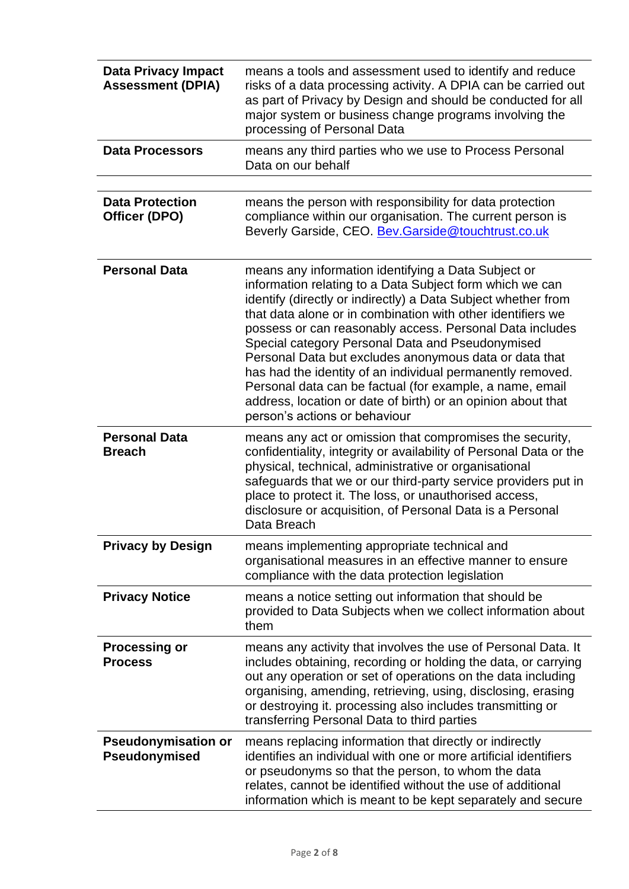| <b>Data Privacy Impact</b><br><b>Assessment (DPIA)</b> | means a tools and assessment used to identify and reduce<br>risks of a data processing activity. A DPIA can be carried out<br>as part of Privacy by Design and should be conducted for all<br>major system or business change programs involving the<br>processing of Personal Data                                                                                                                                                                                                                                                                                                                                                                  |
|--------------------------------------------------------|------------------------------------------------------------------------------------------------------------------------------------------------------------------------------------------------------------------------------------------------------------------------------------------------------------------------------------------------------------------------------------------------------------------------------------------------------------------------------------------------------------------------------------------------------------------------------------------------------------------------------------------------------|
| <b>Data Processors</b>                                 | means any third parties who we use to Process Personal<br>Data on our behalf                                                                                                                                                                                                                                                                                                                                                                                                                                                                                                                                                                         |
|                                                        |                                                                                                                                                                                                                                                                                                                                                                                                                                                                                                                                                                                                                                                      |
| <b>Data Protection</b><br>Officer (DPO)                | means the person with responsibility for data protection<br>compliance within our organisation. The current person is<br>Beverly Garside, CEO. Bev. Garside@touchtrust.co.uk                                                                                                                                                                                                                                                                                                                                                                                                                                                                         |
| <b>Personal Data</b>                                   | means any information identifying a Data Subject or<br>information relating to a Data Subject form which we can<br>identify (directly or indirectly) a Data Subject whether from<br>that data alone or in combination with other identifiers we<br>possess or can reasonably access. Personal Data includes<br>Special category Personal Data and Pseudonymised<br>Personal Data but excludes anonymous data or data that<br>has had the identity of an individual permanently removed.<br>Personal data can be factual (for example, a name, email<br>address, location or date of birth) or an opinion about that<br>person's actions or behaviour |
| <b>Personal Data</b><br><b>Breach</b>                  | means any act or omission that compromises the security,<br>confidentiality, integrity or availability of Personal Data or the<br>physical, technical, administrative or organisational<br>safeguards that we or our third-party service providers put in<br>place to protect it. The loss, or unauthorised access,<br>disclosure or acquisition, of Personal Data is a Personal<br>Data Breach                                                                                                                                                                                                                                                      |
| <b>Privacy by Design</b>                               | means implementing appropriate technical and<br>organisational measures in an effective manner to ensure<br>compliance with the data protection legislation                                                                                                                                                                                                                                                                                                                                                                                                                                                                                          |
| <b>Privacy Notice</b>                                  | means a notice setting out information that should be<br>provided to Data Subjects when we collect information about<br>them                                                                                                                                                                                                                                                                                                                                                                                                                                                                                                                         |
| <b>Processing or</b><br><b>Process</b>                 | means any activity that involves the use of Personal Data. It<br>includes obtaining, recording or holding the data, or carrying<br>out any operation or set of operations on the data including<br>organising, amending, retrieving, using, disclosing, erasing<br>or destroying it. processing also includes transmitting or<br>transferring Personal Data to third parties                                                                                                                                                                                                                                                                         |
| <b>Pseudonymisation or</b><br>Pseudonymised            | means replacing information that directly or indirectly<br>identifies an individual with one or more artificial identifiers<br>or pseudonyms so that the person, to whom the data<br>relates, cannot be identified without the use of additional<br>information which is meant to be kept separately and secure                                                                                                                                                                                                                                                                                                                                      |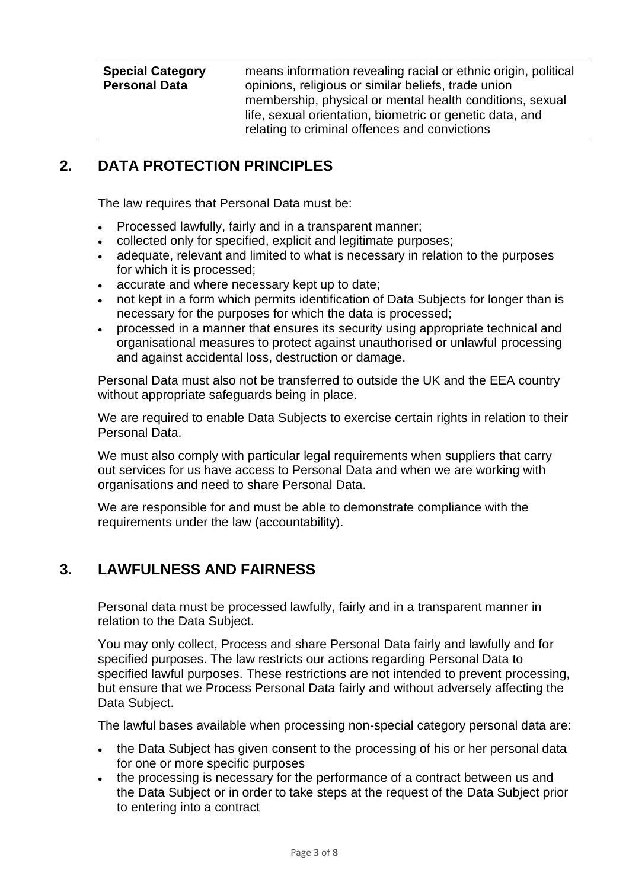**Special Category Personal Data** means information revealing racial or ethnic origin, political opinions, religious or similar beliefs, trade union membership, physical or mental health conditions, sexual life, sexual orientation, biometric or genetic data, and relating to criminal offences and convictions

# **2. DATA PROTECTION PRINCIPLES**

The law requires that Personal Data must be:

- Processed lawfully, fairly and in a transparent manner;
- collected only for specified, explicit and legitimate purposes;
- adequate, relevant and limited to what is necessary in relation to the purposes for which it is processed;
- accurate and where necessary kept up to date;
- not kept in a form which permits identification of Data Subjects for longer than is necessary for the purposes for which the data is processed;
- processed in a manner that ensures its security using appropriate technical and organisational measures to protect against unauthorised or unlawful processing and against accidental loss, destruction or damage.

Personal Data must also not be transferred to outside the UK and the EEA country without appropriate safeguards being in place.

We are required to enable Data Subjects to exercise certain rights in relation to their Personal Data.

We must also comply with particular legal requirements when suppliers that carry out services for us have access to Personal Data and when we are working with organisations and need to share Personal Data.

We are responsible for and must be able to demonstrate compliance with the requirements under the law (accountability).

# **3. LAWFULNESS AND FAIRNESS**

Personal data must be processed lawfully, fairly and in a transparent manner in relation to the Data Subject.

You may only collect, Process and share Personal Data fairly and lawfully and for specified purposes. The law restricts our actions regarding Personal Data to specified lawful purposes. These restrictions are not intended to prevent processing, but ensure that we Process Personal Data fairly and without adversely affecting the Data Subject.

The lawful bases available when processing non-special category personal data are:

- the Data Subject has given consent to the processing of his or her personal data for one or more specific purposes
- the processing is necessary for the performance of a contract between us and the Data Subject or in order to take steps at the request of the Data Subject prior to entering into a contract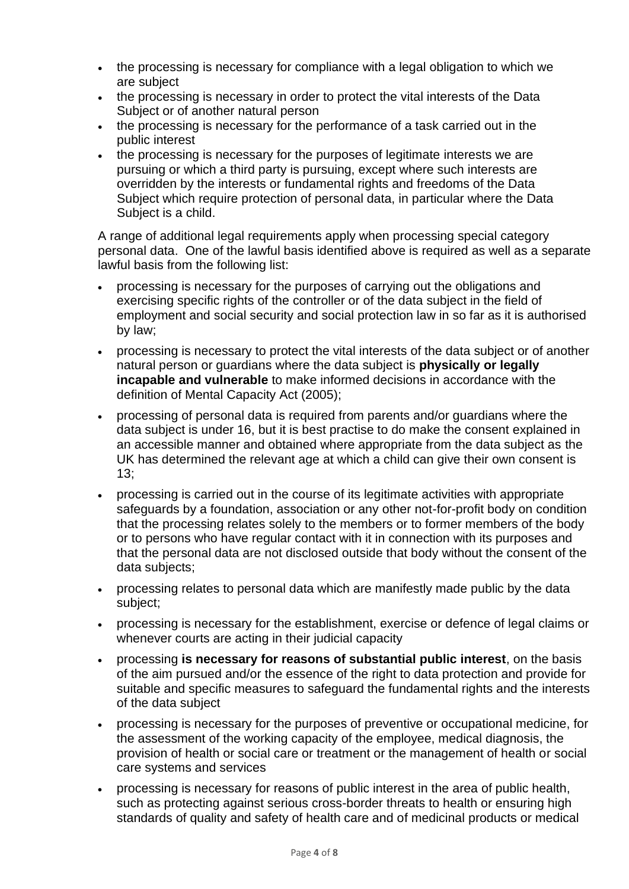- the processing is necessary for compliance with a legal obligation to which we are subject
- the processing is necessary in order to protect the vital interests of the Data Subject or of another natural person
- the processing is necessary for the performance of a task carried out in the public interest
- the processing is necessary for the purposes of legitimate interests we are pursuing or which a third party is pursuing, except where such interests are overridden by the interests or fundamental rights and freedoms of the Data Subject which require protection of personal data, in particular where the Data Subject is a child.

A range of additional legal requirements apply when processing special category personal data. One of the lawful basis identified above is required as well as a separate lawful basis from the following list:

- processing is necessary for the purposes of carrying out the obligations and exercising specific rights of the controller or of the data subject in the field of employment and social security and social protection law in so far as it is authorised by law;
- processing is necessary to protect the vital interests of the data subject or of another natural person or guardians where the data subject is **physically or legally incapable and vulnerable** to make informed decisions in accordance with the definition of Mental Capacity Act (2005);
- processing of personal data is required from parents and/or guardians where the data subject is under 16, but it is best practise to do make the consent explained in an accessible manner and obtained where appropriate from the data subject as the UK has determined the relevant age at which a child can give their own consent is 13;
- processing is carried out in the course of its legitimate activities with appropriate safeguards by a foundation, association or any other not-for-profit body on condition that the processing relates solely to the members or to former members of the body or to persons who have regular contact with it in connection with its purposes and that the personal data are not disclosed outside that body without the consent of the data subjects;
- processing relates to personal data which are manifestly made public by the data subject;
- processing is necessary for the establishment, exercise or defence of legal claims or whenever courts are acting in their judicial capacity
- processing **is necessary for reasons of substantial public interest**, on the basis of the aim pursued and/or the essence of the right to data protection and provide for suitable and specific measures to safeguard the fundamental rights and the interests of the data subject
- processing is necessary for the purposes of preventive or occupational medicine, for the assessment of the working capacity of the employee, medical diagnosis, the provision of health or social care or treatment or the management of health or social care systems and services
- processing is necessary for reasons of public interest in the area of public health, such as protecting against serious cross-border threats to health or ensuring high standards of quality and safety of health care and of medicinal products or medical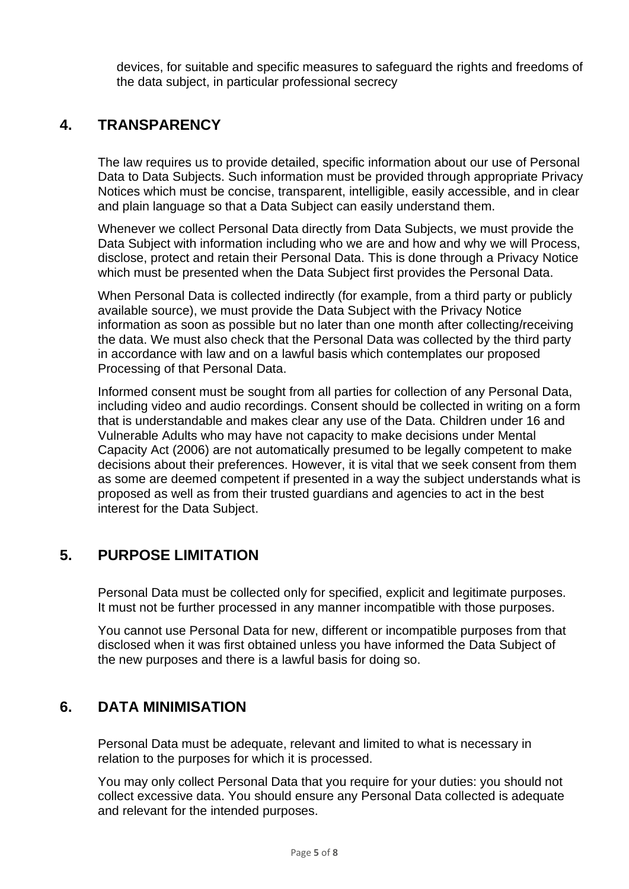devices, for suitable and specific measures to safeguard the rights and freedoms of the data subject, in particular professional secrecy

### **4. TRANSPARENCY**

The law requires us to provide detailed, specific information about our use of Personal Data to Data Subjects. Such information must be provided through appropriate Privacy Notices which must be concise, transparent, intelligible, easily accessible, and in clear and plain language so that a Data Subject can easily understand them.

Whenever we collect Personal Data directly from Data Subjects, we must provide the Data Subject with information including who we are and how and why we will Process, disclose, protect and retain their Personal Data. This is done through a Privacy Notice which must be presented when the Data Subject first provides the Personal Data.

When Personal Data is collected indirectly (for example, from a third party or publicly available source), we must provide the Data Subject with the Privacy Notice information as soon as possible but no later than one month after collecting/receiving the data. We must also check that the Personal Data was collected by the third party in accordance with law and on a lawful basis which contemplates our proposed Processing of that Personal Data.

Informed consent must be sought from all parties for collection of any Personal Data, including video and audio recordings. Consent should be collected in writing on a form that is understandable and makes clear any use of the Data. Children under 16 and Vulnerable Adults who may have not capacity to make decisions under Mental Capacity Act (2006) are not automatically presumed to be legally competent to make decisions about their preferences. However, it is vital that we seek consent from them as some are deemed competent if presented in a way the subject understands what is proposed as well as from their trusted guardians and agencies to act in the best interest for the Data Subject.

## **5. PURPOSE LIMITATION**

Personal Data must be collected only for specified, explicit and legitimate purposes. It must not be further processed in any manner incompatible with those purposes.

You cannot use Personal Data for new, different or incompatible purposes from that disclosed when it was first obtained unless you have informed the Data Subject of the new purposes and there is a lawful basis for doing so.

#### **6. DATA MINIMISATION**

Personal Data must be adequate, relevant and limited to what is necessary in relation to the purposes for which it is processed.

You may only collect Personal Data that you require for your duties: you should not collect excessive data. You should ensure any Personal Data collected is adequate and relevant for the intended purposes.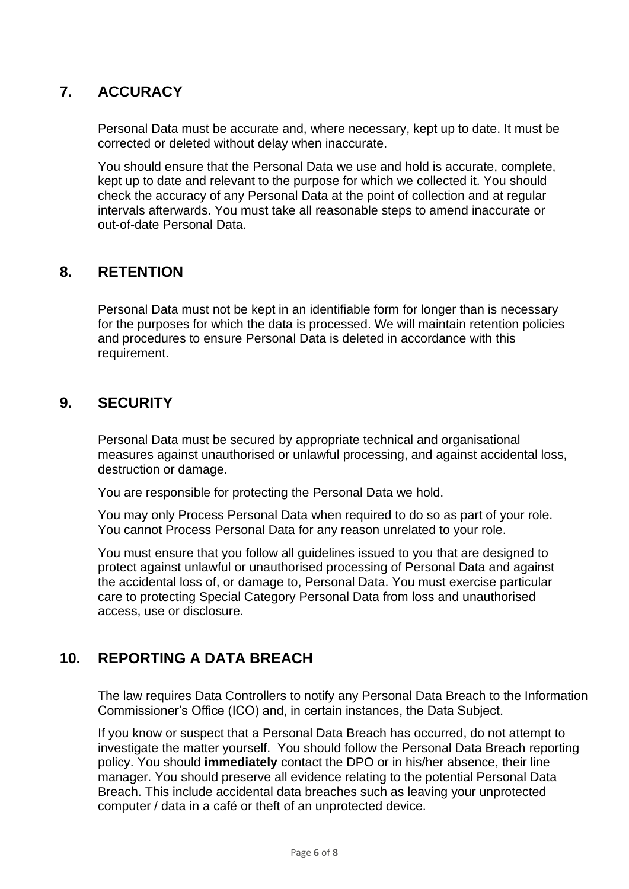# **7. ACCURACY**

Personal Data must be accurate and, where necessary, kept up to date. It must be corrected or deleted without delay when inaccurate.

You should ensure that the Personal Data we use and hold is accurate, complete, kept up to date and relevant to the purpose for which we collected it. You should check the accuracy of any Personal Data at the point of collection and at regular intervals afterwards. You must take all reasonable steps to amend inaccurate or out-of-date Personal Data.

#### **8. RETENTION**

Personal Data must not be kept in an identifiable form for longer than is necessary for the purposes for which the data is processed. We will maintain retention policies and procedures to ensure Personal Data is deleted in accordance with this requirement.

#### **9. SECURITY**

Personal Data must be secured by appropriate technical and organisational measures against unauthorised or unlawful processing, and against accidental loss, destruction or damage.

You are responsible for protecting the Personal Data we hold.

You may only Process Personal Data when required to do so as part of your role. You cannot Process Personal Data for any reason unrelated to your role.

You must ensure that you follow all guidelines issued to you that are designed to protect against unlawful or unauthorised processing of Personal Data and against the accidental loss of, or damage to, Personal Data. You must exercise particular care to protecting Special Category Personal Data from loss and unauthorised access, use or disclosure.

## **10. REPORTING A DATA BREACH**

The law requires Data Controllers to notify any Personal Data Breach to the Information Commissioner's Office (ICO) and, in certain instances, the Data Subject.

If you know or suspect that a Personal Data Breach has occurred, do not attempt to investigate the matter yourself. You should follow the Personal Data Breach reporting policy. You should **immediately** contact the DPO or in his/her absence, their line manager. You should preserve all evidence relating to the potential Personal Data Breach. This include accidental data breaches such as leaving your unprotected computer / data in a café or theft of an unprotected device.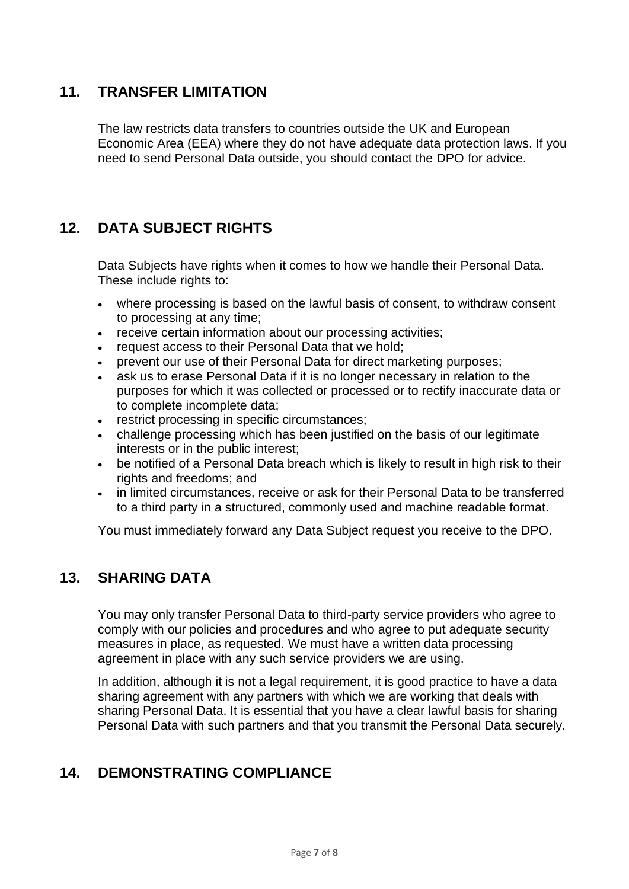#### **11. TRANSFER LIMITATION**

The law restricts data transfers to countries outside the UK and European Economic Area (EEA) where they do not have adequate data protection laws. If you need to send Personal Data outside, you should contact the DPO for advice.

# **12. DATA SUBJECT RIGHTS**

Data Subjects have rights when it comes to how we handle their Personal Data. These include rights to:

- where processing is based on the lawful basis of consent, to withdraw consent to processing at any time;
- receive certain information about our processing activities;
- request access to their Personal Data that we hold;
- prevent our use of their Personal Data for direct marketing purposes;
- ask us to erase Personal Data if it is no longer necessary in relation to the purposes for which it was collected or processed or to rectify inaccurate data or to complete incomplete data;
- restrict processing in specific circumstances;
- challenge processing which has been justified on the basis of our legitimate interests or in the public interest;
- be notified of a Personal Data breach which is likely to result in high risk to their rights and freedoms; and
- in limited circumstances, receive or ask for their Personal Data to be transferred to a third party in a structured, commonly used and machine readable format.

You must immediately forward any Data Subject request you receive to the DPO.

#### **13. SHARING DATA**

You may only transfer Personal Data to third-party service providers who agree to comply with our policies and procedures and who agree to put adequate security measures in place, as requested. We must have a written data processing agreement in place with any such service providers we are using.

In addition, although it is not a legal requirement, it is good practice to have a data sharing agreement with any partners with which we are working that deals with sharing Personal Data. It is essential that you have a clear lawful basis for sharing Personal Data with such partners and that you transmit the Personal Data securely.

## **14. DEMONSTRATING COMPLIANCE**